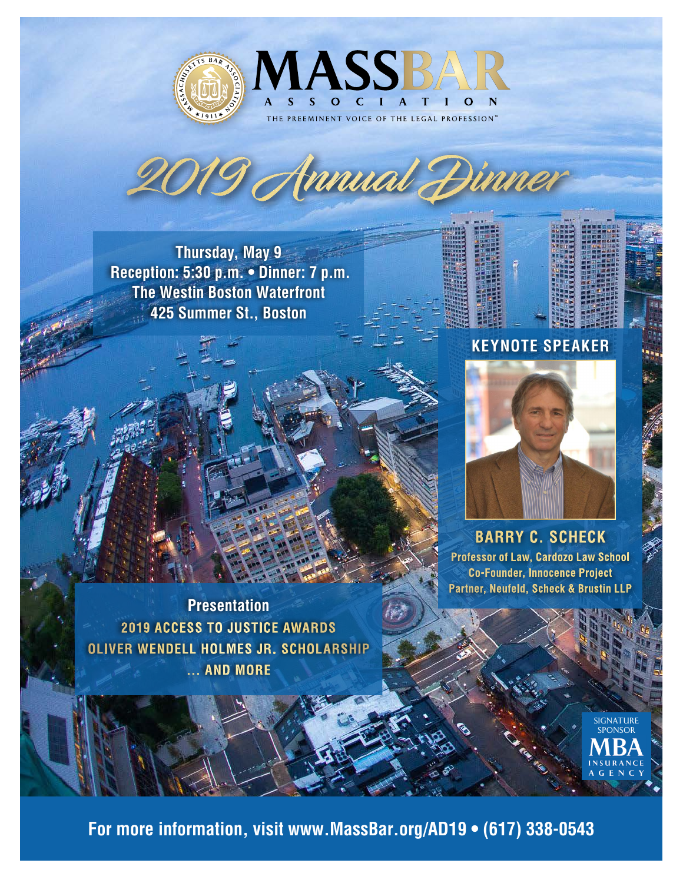



**Thursday, May 9 Reception: 5:30 p.m. • Dinner: 7 p.m. The Westin Boston Waterfront 425 Summer St., Boston**

# **KEYNOTE SPEAKER**



**BARRY C. SCHECK Professor of Law, Cardozo Law School Co-Founder, Innocence Project Partner, Neufeld, Scheck & Brustin LLP**

**Presentation 2019 ACCESS TO JUSTICE AWARDS OLIVER WENDELL HOLMES JR. SCHOLARSHIP ... AND MORE**

> SIGNATURE SPONSOR

**For more information, visit www.MassBar.org/AD19 • (617) 338-0543**